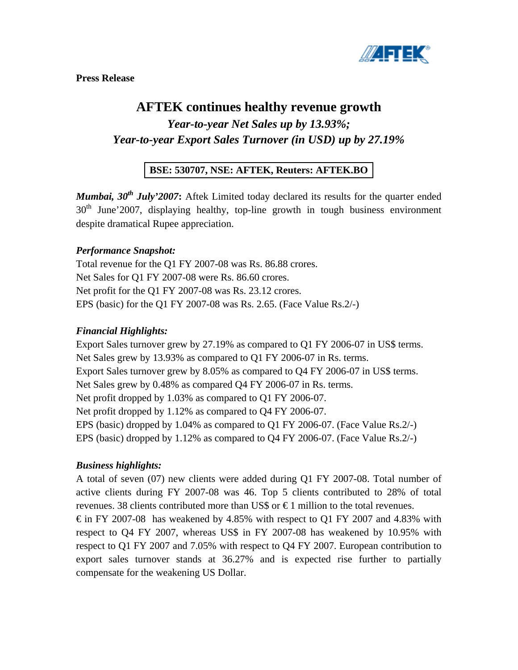

**Press Release** 

# **AFTEK continues healthy revenue growth**

*Year-to-year Net Sales up by 13.93%; Year-to-year Export Sales Turnover (in USD) up by 27.19%* 

## **BSE: 530707, NSE: AFTEK, Reuters: AFTEK.BO**

*Mumbai, 30<sup>th</sup> July'2007*: Aftek Limited today declared its results for the quarter ended  $30<sup>th</sup>$  June' 2007, displaying healthy, top-line growth in tough business environment despite dramatical Rupee appreciation.

#### *Performance Snapshot:*

Total revenue for the Q1 FY 2007-08 was Rs. 86.88 crores. Net Sales for Q1 FY 2007-08 were Rs. 86.60 crores. Net profit for the Q1 FY 2007-08 was Rs. 23.12 crores. EPS (basic) for the Q1 FY 2007-08 was Rs. 2.65. (Face Value Rs.2/-)

#### *Financial Highlights:*

Export Sales turnover grew by 27.19% as compared to Q1 FY 2006-07 in US\$ terms. Net Sales grew by 13.93% as compared to Q1 FY 2006-07 in Rs. terms. Export Sales turnover grew by 8.05% as compared to Q4 FY 2006-07 in US\$ terms. Net Sales grew by 0.48% as compared Q4 FY 2006-07 in Rs. terms. Net profit dropped by 1.03% as compared to Q1 FY 2006-07. Net profit dropped by 1.12% as compared to Q4 FY 2006-07. EPS (basic) dropped by 1.04% as compared to Q1 FY 2006-07. (Face Value Rs.2/-) EPS (basic) dropped by 1.12% as compared to Q4 FY 2006-07. (Face Value Rs.2/-)

## *Business highlights:*

A total of seven (07) new clients were added during Q1 FY 2007-08. Total number of active clients during FY 2007-08 was 46. Top 5 clients contributed to 28% of total revenues. 38 clients contributed more than US\$ or  $\epsilon$ 1 million to the total revenues.

 $\epsilon$  in FY 2007-08 has weakened by 4.85% with respect to Q1 FY 2007 and 4.83% with respect to Q4 FY 2007, whereas US\$ in FY 2007-08 has weakened by 10.95% with respect to Q1 FY 2007 and 7.05% with respect to Q4 FY 2007. European contribution to export sales turnover stands at 36.27% and is expected rise further to partially compensate for the weakening US Dollar.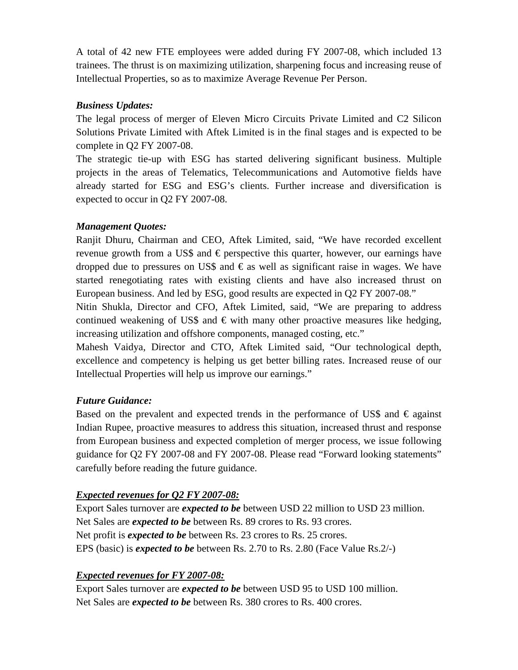A total of 42 new FTE employees were added during FY 2007-08, which included 13 trainees. The thrust is on maximizing utilization, sharpening focus and increasing reuse of Intellectual Properties, so as to maximize Average Revenue Per Person.

#### *Business Updates:*

The legal process of merger of Eleven Micro Circuits Private Limited and C2 Silicon Solutions Private Limited with Aftek Limited is in the final stages and is expected to be complete in Q2 FY 2007-08.

The strategic tie-up with ESG has started delivering significant business. Multiple projects in the areas of Telematics, Telecommunications and Automotive fields have already started for ESG and ESG's clients. Further increase and diversification is expected to occur in Q2 FY 2007-08.

#### *Management Quotes:*

Ranjit Dhuru, Chairman and CEO, Aftek Limited, said, "We have recorded excellent revenue growth from a US\$ and  $\epsilon$  perspective this quarter, however, our earnings have dropped due to pressures on US\$ and  $\epsilon$  as well as significant raise in wages. We have started renegotiating rates with existing clients and have also increased thrust on European business. And led by ESG, good results are expected in Q2 FY 2007-08."

Nitin Shukla, Director and CFO, Aftek Limited, said, "We are preparing to address continued weakening of US\$ and  $\epsilon$  with many other proactive measures like hedging, increasing utilization and offshore components, managed costing, etc."

Mahesh Vaidya, Director and CTO, Aftek Limited said, "Our technological depth, excellence and competency is helping us get better billing rates. Increased reuse of our Intellectual Properties will help us improve our earnings."

## *Future Guidance:*

Based on the prevalent and expected trends in the performance of US\$ and  $\epsilon$  against Indian Rupee, proactive measures to address this situation, increased thrust and response from European business and expected completion of merger process, we issue following guidance for Q2 FY 2007-08 and FY 2007-08. Please read "Forward looking statements" carefully before reading the future guidance.

## *Expected revenues for Q2 FY 2007-08:*

Export Sales turnover are *expected to be* between USD 22 million to USD 23 million. Net Sales are *expected to be* between Rs. 89 crores to Rs. 93 crores. Net profit is *expected to be* between Rs. 23 crores to Rs. 25 crores. EPS (basic) is *expected to be* between Rs. 2.70 to Rs. 2.80 (Face Value Rs.2/-)

## *Expected revenues for FY 2007-08:*

Export Sales turnover are *expected to be* between USD 95 to USD 100 million. Net Sales are *expected to be* between Rs. 380 crores to Rs. 400 crores.